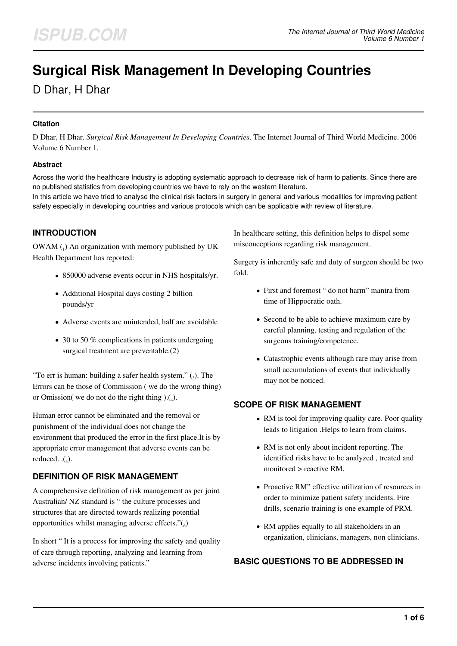# **Surgical Risk Management In Developing Countries**

D Dhar, H Dhar

#### **Citation**

D Dhar, H Dhar. *Surgical Risk Management In Developing Countries*. The Internet Journal of Third World Medicine. 2006 Volume 6 Number 1.

#### **Abstract**

Across the world the healthcare Industry is adopting systematic approach to decrease risk of harm to patients. Since there are no published statistics from developing countries we have to rely on the western literature.

In this article we have tried to analyse the clinical risk factors in surgery in general and various modalities for improving patient safety especially in developing countries and various protocols which can be applicable with review of literature.

## **INTRODUCTION**

OWAM  $_{(1)}$  An organization with memory published by UK Health Department has reported:

- 850000 adverse events occur in NHS hospitals/yr.
- Additional Hospital days costing 2 billion pounds/yr
- Adverse events are unintended, half are avoidable
- 30 to 50 % complications in patients undergoing surgical treatment are preventable.(2)

"To err is human: building a safer health system."  $(_3)$ . The Errors can be those of Commission ( we do the wrong thing) or Omission( we do not do the right thing  $).(_4).$ 

Human error cannot be eliminated and the removal or punishment of the individual does not change the environment that produced the error in the first place.It is by appropriate error management that adverse events can be reduced.  $\cdot$ ( $\cdot$ ).

## **DEFINITION OF RISK MANAGEMENT**

A comprehensive definition of risk management as per joint Australian/ NZ standard is " the culture processes and structures that are directed towards realizing potential opportunities whilst managing adverse effects." $\binom{6}{6}$ 

In short " It is a process for improving the safety and quality of care through reporting, analyzing and learning from adverse incidents involving patients."

In healthcare setting, this definition helps to dispel some misconceptions regarding risk management.

Surgery is inherently safe and duty of surgeon should be two fold.

- First and foremost " do not harm" mantra from time of Hippocratic oath.
- Second to be able to achieve maximum care by careful planning, testing and regulation of the surgeons training/competence.
- Catastrophic events although rare may arise from small accumulations of events that individually may not be noticed.

#### **SCOPE OF RISK MANAGEMENT**

- RM is tool for improving quality care. Poor quality leads to litigation .Helps to learn from claims.
- RM is not only about incident reporting. The identified risks have to be analyzed , treated and monitored > reactive RM.
- Proactive RM" effective utilization of resources in order to minimize patient safety incidents. Fire drills, scenario training is one example of PRM.
- RM applies equally to all stakeholders in an organization, clinicians, managers, non clinicians.

## **BASIC QUESTIONS TO BE ADDRESSED IN**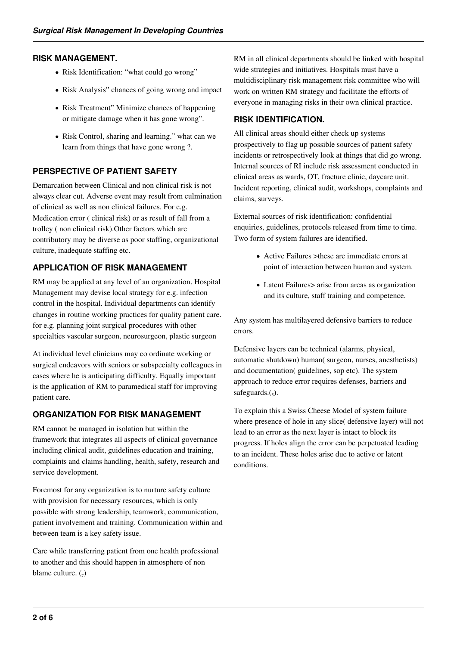#### **RISK MANAGEMENT.**

- Risk Identification: "what could go wrong"
- Risk Analysis" chances of going wrong and impact
- Risk Treatment" Minimize chances of happening or mitigate damage when it has gone wrong".
- Risk Control, sharing and learning." what can we learn from things that have gone wrong ?.

# **PERSPECTIVE OF PATIENT SAFETY**

Demarcation between Clinical and non clinical risk is not always clear cut. Adverse event may result from culmination of clinical as well as non clinical failures. For e.g. Medication error ( clinical risk) or as result of fall from a trolley ( non clinical risk).Other factors which are contributory may be diverse as poor staffing, organizational culture, inadequate staffing etc.

# **APPLICATION OF RISK MANAGEMENT**

RM may be applied at any level of an organization. Hospital Management may devise local strategy for e.g. infection control in the hospital. Individual departments can identify changes in routine working practices for quality patient care. for e.g. planning joint surgical procedures with other specialties vascular surgeon, neurosurgeon, plastic surgeon

At individual level clinicians may co ordinate working or surgical endeavors with seniors or subspecialty colleagues in cases where he is anticipating difficulty. Equally important is the application of RM to paramedical staff for improving patient care.

## **ORGANIZATION FOR RISK MANAGEMENT**

RM cannot be managed in isolation but within the framework that integrates all aspects of clinical governance including clinical audit, guidelines education and training, complaints and claims handling, health, safety, research and service development.

Foremost for any organization is to nurture safety culture with provision for necessary resources, which is only possible with strong leadership, teamwork, communication, patient involvement and training. Communication within and between team is a key safety issue.

Care while transferring patient from one health professional to another and this should happen in atmosphere of non blame culture.  $\binom{7}{2}$ 

RM in all clinical departments should be linked with hospital wide strategies and initiatives. Hospitals must have a multidisciplinary risk management risk committee who will work on written RM strategy and facilitate the efforts of everyone in managing risks in their own clinical practice.

# **RISK IDENTIFICATION.**

All clinical areas should either check up systems prospectively to flag up possible sources of patient safety incidents or retrospectively look at things that did go wrong. Internal sources of RI include risk assessment conducted in clinical areas as wards, OT, fracture clinic, daycare unit. Incident reporting, clinical audit, workshops, complaints and claims, surveys.

External sources of risk identification: confidential enquiries, guidelines, protocols released from time to time. Two form of system failures are identified.

- Active Failures >these are immediate errors at point of interaction between human and system.
- Latent Failures> arise from areas as organization and its culture, staff training and competence.

Any system has multilayered defensive barriers to reduce errors.

Defensive layers can be technical (alarms, physical, automatic shutdown) human( surgeon, nurses, anesthetists) and documentation( guidelines, sop etc). The system approach to reduce error requires defenses, barriers and safeguards. $\binom{5}{5}$ .

To explain this a Swiss Cheese Model of system failure where presence of hole in any slice( defensive layer) will not lead to an error as the next layer is intact to block its progress. If holes align the error can be perpetuated leading to an incident. These holes arise due to active or latent conditions.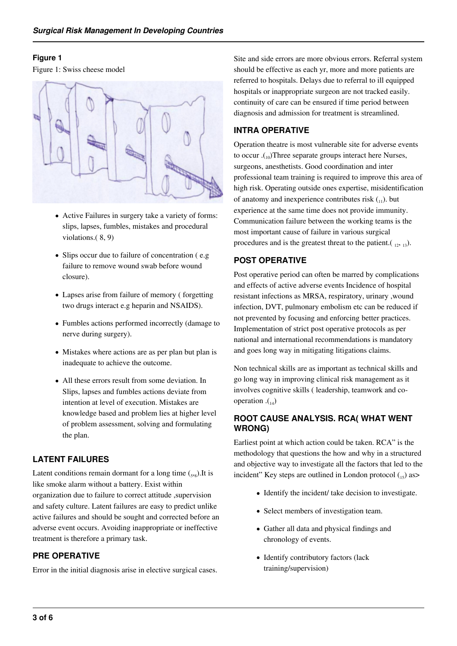#### **Figure 1**

Figure 1: Swiss cheese model



- Active Failures in surgery take a variety of forms: slips, lapses, fumbles, mistakes and procedural violations.( 8, 9)
- Slips occur due to failure of concentration (e.g) failure to remove wound swab before wound closure).
- Lapses arise from failure of memory ( forgetting two drugs interact e.g heparin and NSAIDS).
- Fumbles actions performed incorrectly (damage to nerve during surgery).
- Mistakes where actions are as per plan but plan is inadequate to achieve the outcome.
- All these errors result from some deviation. In Slips, lapses and fumbles actions deviate from intention at level of execution. Mistakes are knowledge based and problem lies at higher level of problem assessment, solving and formulating the plan.

## **LATENT FAILURES**

Latent conditions remain dormant for a long time  $_{(5,8)}$ . It is like smoke alarm without a battery. Exist within organization due to failure to correct attitude ,supervision and safety culture. Latent failures are easy to predict unlike active failures and should be sought and corrected before an adverse event occurs. Avoiding inappropriate or ineffective treatment is therefore a primary task.

## **PRE OPERATIVE**

Error in the initial diagnosis arise in elective surgical cases.

Site and side errors are more obvious errors. Referral system should be effective as each yr, more and more patients are referred to hospitals. Delays due to referral to ill equipped hospitals or inappropriate surgeon are not tracked easily. continuity of care can be ensured if time period between diagnosis and admission for treatment is streamlined.

## **INTRA OPERATIVE**

Operation theatre is most vulnerable site for adverse events to occur . $\binom{10}{10}$ Three separate groups interact here Nurses, surgeons, anesthetists. Good coordination and inter professional team training is required to improve this area of high risk. Operating outside ones expertise, misidentification of anatomy and inexperience contributes risk  $\binom{1}{1}$ . but experience at the same time does not provide immunity. Communication failure between the working teams is the most important cause of failure in various surgical procedures and is the greatest threat to the patient. $\left(\begin{array}{cc} 12, & 13 \end{array}\right)$ .

## **POST OPERATIVE**

Post operative period can often be marred by complications and effects of active adverse events Incidence of hospital resistant infections as MRSA, respiratory, urinary ,wound infection, DVT, pulmonary embolism etc can be reduced if not prevented by focusing and enforcing better practices. Implementation of strict post operative protocols as per national and international recommendations is mandatory and goes long way in mitigating litigations claims.

Non technical skills are as important as technical skills and go long way in improving clinical risk management as it involves cognitive skills ( leadership, teamwork and cooperation  $\mathcal{L}_{14}$ )

## **ROOT CAUSE ANALYSIS. RCA( WHAT WENT WRONG)**

Earliest point at which action could be taken. RCA" is the methodology that questions the how and why in a structured and objective way to investigate all the factors that led to the incident" Key steps are outlined in London protocol  $\binom{15}{15}$  as

- Identify the incident/ take decision to investigate.
- Select members of investigation team.
- Gather all data and physical findings and chronology of events.
- Identify contributory factors (lack training/supervision)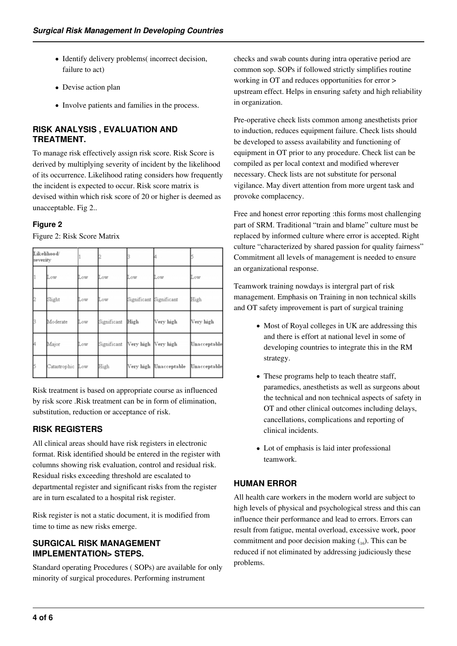- Identify delivery problems( incorrect decision, failure to act)
- Devise action plan
- Involve patients and families in the process.

## **RISK ANALYSIS , EVALUATION AND TREATMENT.**

To manage risk effectively assign risk score. Risk Score is derived by multiplying severity of incident by the likelihood of its occurrence. Likelihood rating considers how frequently the incident is expected to occur. Risk score matrix is devised within which risk score of 20 or higher is deemed as unacceptable. Fig 2..

## **Figure 2**

Figure 2: Risk Score Matrix

| Likelihood/<br>severity |                  |     |             |                         |                        |              |
|-------------------------|------------------|-----|-------------|-------------------------|------------------------|--------------|
|                         | Low              | Low | Low         | Low                     | Low                    | Low          |
|                         | Slight           | Low | Low         | Significant Significant |                        | High         |
|                         | Moderate         | Low | Significant | High                    | Very high              | Very high    |
|                         | Major            | Low | Significant | Very high Very high     |                        | Unacceptable |
|                         | Catastrophic Low |     | High        |                         | Very high Unacceptable | Unacceptable |

Risk treatment is based on appropriate course as influenced by risk score .Risk treatment can be in form of elimination, substitution, reduction or acceptance of risk.

# **RISK REGISTERS**

All clinical areas should have risk registers in electronic format. Risk identified should be entered in the register with columns showing risk evaluation, control and residual risk. Residual risks exceeding threshold are escalated to departmental register and significant risks from the register are in turn escalated to a hospital risk register.

Risk register is not a static document, it is modified from time to time as new risks emerge.

## **SURGICAL RISK MANAGEMENT IMPLEMENTATION> STEPS.**

Standard operating Procedures ( SOPs) are available for only minority of surgical procedures. Performing instrument

checks and swab counts during intra operative period are common sop. SOPs if followed strictly simplifies routine working in OT and reduces opportunities for error > upstream effect. Helps in ensuring safety and high reliability in organization.

Pre-operative check lists common among anesthetists prior to induction, reduces equipment failure. Check lists should be developed to assess availability and functioning of equipment in OT prior to any procedure. Check list can be compiled as per local context and modified wherever necessary. Check lists are not substitute for personal vigilance. May divert attention from more urgent task and provoke complacency.

Free and honest error reporting :this forms most challenging part of SRM. Traditional "train and blame" culture must be replaced by informed culture where error is accepted. Right culture "characterized by shared passion for quality fairness" Commitment all levels of management is needed to ensure an organizational response.

Teamwork training nowdays is intergral part of risk management. Emphasis on Training in non technical skills and OT safety improvement is part of surgical training

- Most of Royal colleges in UK are addressing this and there is effort at national level in some of developing countries to integrate this in the RM strategy.
- These programs help to teach theatre staff, paramedics, anesthetists as well as surgeons about the technical and non technical aspects of safety in OT and other clinical outcomes including delays, cancellations, complications and reporting of clinical incidents.
- Lot of emphasis is laid inter professional teamwork.

# **HUMAN ERROR**

All health care workers in the modern world are subject to high levels of physical and psychological stress and this can influence their performance and lead to errors. Errors can result from fatigue, mental overload, excessive work, poor commitment and poor decision making  $_{16}$ ). This can be reduced if not eliminated by addressing judiciously these problems.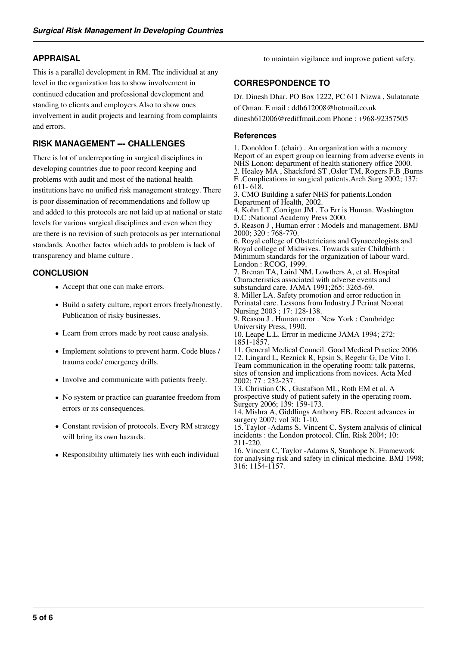## **APPRAISAL**

This is a parallel development in RM. The individual at any level in the organization has to show involvement in continued education and professional development and standing to clients and employers Also to show ones involvement in audit projects and learning from complaints and errors.

## **RISK MANAGEMENT --- CHALLENGES**

There is lot of underreporting in surgical disciplines in developing countries due to poor record keeping and problems with audit and most of the national health institutions have no unified risk management strategy. There is poor dissemination of recommendations and follow up and added to this protocols are not laid up at national or state levels for various surgical disciplines and even when they are there is no revision of such protocols as per international standards. Another factor which adds to problem is lack of transparency and blame culture .

## **CONCLUSION**

- Accept that one can make errors.
- Build a safety culture, report errors freely/honestly. Publication of risky businesses.
- Learn from errors made by root cause analysis.
- Implement solutions to prevent harm. Code blues / trauma code/ emergency drills.
- Involve and communicate with patients freely.
- No system or practice can guarantee freedom from errors or its consequences.
- Constant revision of protocols. Every RM strategy will bring its own hazards.
- Responsibility ultimately lies with each individual

to maintain vigilance and improve patient safety.

## **CORRESPONDENCE TO**

Dr. Dinesh Dhar. PO Box 1222, PC 611 Nizwa , Sulatanate of Oman. E mail : ddh612008@hotmail.co.uk

dinesh612006@rediffmail.com Phone : +968-92357505

#### **References**

1. Donoldon L (chair) . An organization with a memory Report of an expert group on learning from adverse events in NHS Lonon: department of health stationery office 2000. 2. Healey MA , Shackford ST ,Osler TM, Rogers F.B ,Burns E .Complications in surgical patients.Arch Surg 2002; 137: 611- 618. 3. CMO Building a safer NHS for patients.London Department of Health, 2002. 4. Kohn LT ,Corrigan JM . To Err is Human. Washington D.C :National Academy Press 2000. 5. Reason J , Human error : Models and management. BMJ 2000; 320 : 768-770. 6. Royal college of Obstetricians and Gynaecologists and Royal college of Midwives. Towards safer Childbirth : Minimum standards for the organization of labour ward. London : RCOG, 1999. 7. Brenan TA, Laird NM, Lowthers A, et al. Hospital Characteristics associated with adverse events and substandard care. JAMA 1991;265: 3265-69. 8. Miller LA. Safety promotion and error reduction in Perinatal care. Lessons from Industry.J Perinat Neonat Nursing 2003 ; 17: 128-138. 9. Reason J . Human error . New York : Cambridge University Press, 1990. 10. Leape L.L. Error in medicine JAMA 1994; 272: 1851-1857. 11. General Medical Council. Good Medical Practice 2006. 12. Lingard L, Reznick R, Epsin S, Regehr G, De Vito I. Team communication in the operating room: talk patterns, sites of tension and implications from novices. Acta Med 2002; 77 : 232-237. 13. Christian CK , Gustafson ML, Roth EM et al. A prospective study of patient safety in the operating room. Surgery 2006; 139: 159-173. 14. Mishra A, Giddlings Anthony EB. Recent advances in surgery 2007; vol 30: 1-10. 15. Taylor -Adams S, Vincent C. System analysis of clinical incidents : the London protocol. Clin. Risk 2004; 10: 211-220. 16. Vincent C, Taylor -Adams S, Stanhope N. Framework

for analysing risk and safety in clinical medicine. BMJ 1998; 316: 1154-1157.